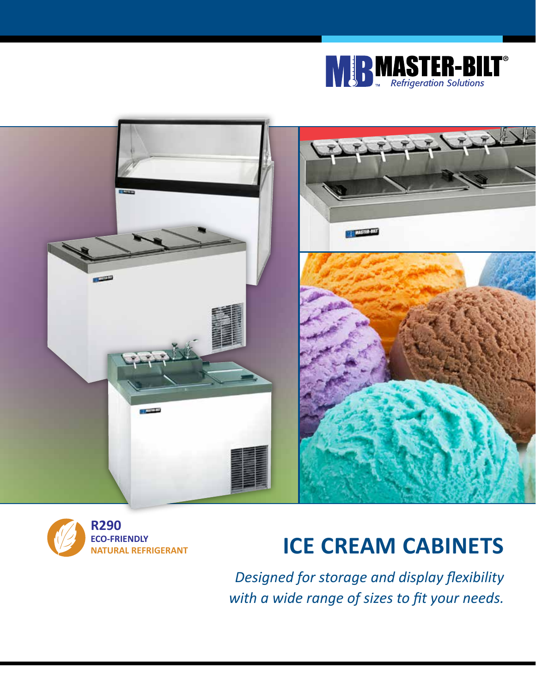





# **ICE CREAM CABINETS**

*Designed for storage and display flexibility with a wide range of sizes to fit your needs.*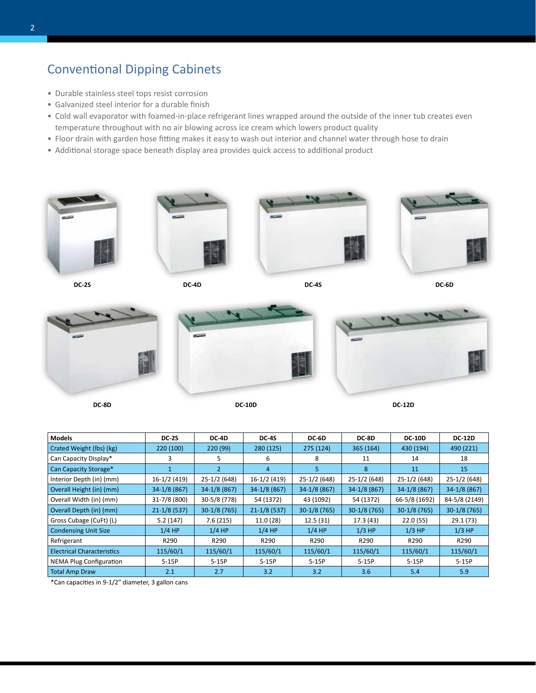## Conventional Dipping Cabinets

- Durable stainless steel tops resist corrosion
- Galvanized steel interior for a durable finish
- Cold wall evaporator with foamed-in-place refrigerant lines wrapped around the outside of the inner tub creates even temperature throughout with no air blowing across ice cream which lowers product quality
- Floor drain with garden hose fitting makes it easy to wash out interior and channel water through hose to drain
- Additional storage space beneath display area provides quick access to additional product









**DC-2S DC-4D DC-4S DC-6D**







**DC-8D DC-10D DC-12D**

| <b>Models</b>                     | <b>DC-2S</b>  | <b>DC-4D</b>  | <b>DC-4S</b>    | DC-6D         | DC-8D          | <b>DC-10D</b> | <b>DC-12D</b> |
|-----------------------------------|---------------|---------------|-----------------|---------------|----------------|---------------|---------------|
| Crated Weight (lbs) (kg)          | 220 (100)     | 220 (99)      | 280 (125)       | 275 (124)     | 365 (164)      | 430 (194)     | 490 (221)     |
| Can Capacity Display*             | 3             | 5.            | 6               | 8             | 11             | 14            | 18            |
| Can Capacity Storage*             |               | $\mathcal{P}$ | $\overline{4}$  | 5             | 8              | 11            | 15            |
| Interior Depth (in) (mm)          | 16-1/2 (419)  | 25-1/2 (648)  | 16-1/2 (419)    | $25-1/2(648)$ | 25-1/2 (648)   | 25-1/2 (648)  | 25-1/2 (648)  |
| Overall Height (in) (mm)          | $34-1/8(867)$ | 34-1/8 (867)  | $34-1/8(867)$   | $34-1/8(867)$ | 34-1/8 (867)   | $34-1/8(867)$ | $34-1/8(867)$ |
| Overall Width (in) (mm)           | 31-7/8 (800)  | 30-5/8 (778)  | 54 (1372)       | 43 (1092)     | 54 (1372)      | 66-5/8 (1692) | 84-5/8 (2149) |
| Overall Depth (in) (mm)           | $21-1/8(537)$ | $30-1/8(765)$ | $21 - 1/8(537)$ | $30-1/8(765)$ | $30-1/8$ (765) | $30-1/8(765)$ | $30-1/8(765)$ |
| Gross Cubage (CuFt) (L)           | 5.2(147)      | 7.6(215)      | 11.0(28)        | 12.5(31)      | 17.3 (43)      | 22.0(55)      | 29.1(73)      |
| <b>Condensing Unit Size</b>       | $1/4$ HP      | $1/4$ HP      | $1/4$ HP        | $1/4$ HP      | $1/3$ HP       | $1/3$ HP      | $1/3$ HP      |
| Refrigerant                       | R290          | R290          | R290            | R290          | R290           | R290          | R290          |
| <b>Electrical Characteristics</b> | 115/60/1      | 115/60/1      | 115/60/1        | 115/60/1      | 115/60/1       | 115/60/1      | 115/60/1      |
| <b>NEMA Plug Configuration</b>    | $5-15P$       | $5-15P$       | $5-15P$         | $5-15P$       | $5-15P$        | $5-15P$       | $5-15P$       |
| <b>Total Amp Draw</b>             | 2.1           | 2.7           | 3.2             | 3.2           | 3.6            | 5.4           | 5.9           |

\*Can capacities in 9-1/2" diameter, 3 gallon cans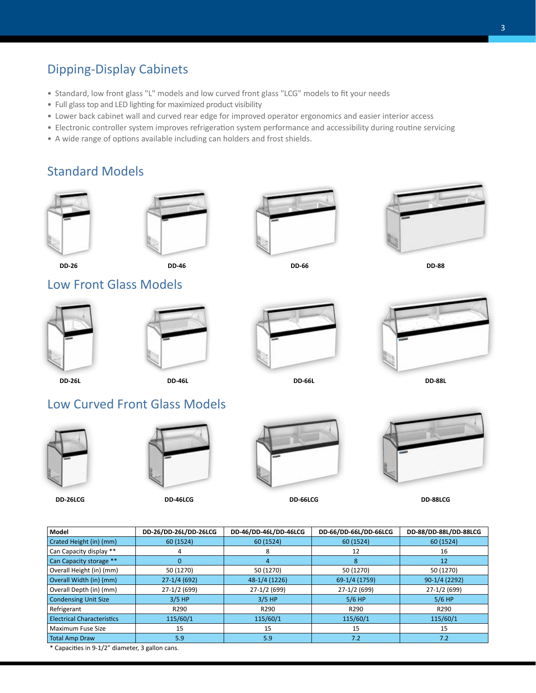## Dipping-Display Cabinets

- Standard, low front glass "L" models and low curved front glass "LCG" models to fit your needs
- Full glass top and LED lighting for maximized product visibility
- Lower back cabinet wall and curved rear edge for improved operator ergonomics and easier interior access
- Electronic controller system improves refrigeration system performance and accessibility during routine servicing
- A wide range of options available including can holders and frost shields.

#### Standard Models





**DD-46**







**DD-46L**



**DD-26 DD-66 DD-88**









**DD-26L DD-66L DD-88L**

# Low Curved Front Glass Models





**DD-46LCG**



**DD-26LCG DD-66LCG DD-88LCG**



| Model                                                                                                                                | DD-26/DD-26L/DD-26LCG | DD-46/DD-46L/DD-46LCG | DD-66/DD-66L/DD-66LCG | DD-88/DD-88L/DD-88LCG |  |  |  |
|--------------------------------------------------------------------------------------------------------------------------------------|-----------------------|-----------------------|-----------------------|-----------------------|--|--|--|
| Crated Height (in) (mm)                                                                                                              | 60 (1524)             | 60 (1524)             | 60 (1524)             | 60 (1524)             |  |  |  |
| Can Capacity display **                                                                                                              |                       |                       | 12                    | 16                    |  |  |  |
| Can Capacity storage **                                                                                                              | 0                     |                       | 8                     | 12                    |  |  |  |
| Overall Height (in) (mm)                                                                                                             | 50 (1270)             | 50 (1270)             | 50 (1270)             | 50 (1270)             |  |  |  |
| Overall Width (in) (mm)                                                                                                              | $27-1/4(692)$         | 48-1/4 (1226)         | 69-1/4 (1759)         | 90-1/4 (2292)         |  |  |  |
| Overall Depth (in) (mm)                                                                                                              | 27-1/2 (699)          | 27-1/2 (699)          | 27-1/2 (699)          | 27-1/2 (699)          |  |  |  |
| <b>Condensing Unit Size</b>                                                                                                          | $3/5$ HP              | $3/5$ HP              | $5/6$ HP              | $5/6$ HP              |  |  |  |
| Refrigerant                                                                                                                          | R290                  | R290                  | R290                  | R290                  |  |  |  |
| <b>Electrical Characteristics</b>                                                                                                    | 115/60/1              | 115/60/1              | 115/60/1              | 115/60/1              |  |  |  |
| Maximum Fuse Size                                                                                                                    | 15                    | 15                    | 15                    | 15                    |  |  |  |
| <b>Total Amp Draw</b>                                                                                                                | 5.9                   | 5.9                   | 7.2                   | 7.2                   |  |  |  |
| $\mathbf{r}$ , $\mathbf{r}$ , $\mathbf{r}$ , $\mathbf{r}$ , $\mathbf{r}$ , $\mathbf{r}$ , $\mathbf{r}$ , $\mathbf{r}$ , $\mathbf{r}$ |                       |                       |                       |                       |  |  |  |

\* Capacities in 9-1/2" diameter, 3 gallon cans.